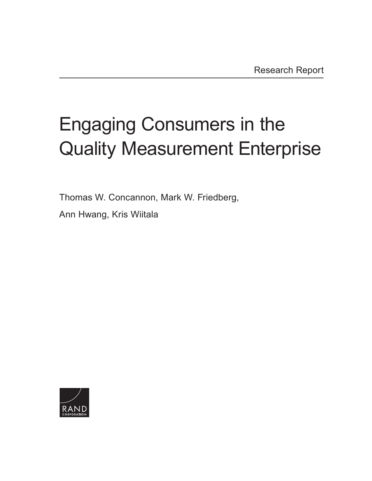# Engaging Consumers in the [Quality Measurement Enterprise](http://www.rand.org/pubs/research_reports/RR1760.html)

Thomas W. Concannon, Mark W. Friedberg,

Ann Hwang, Kris Wiitala

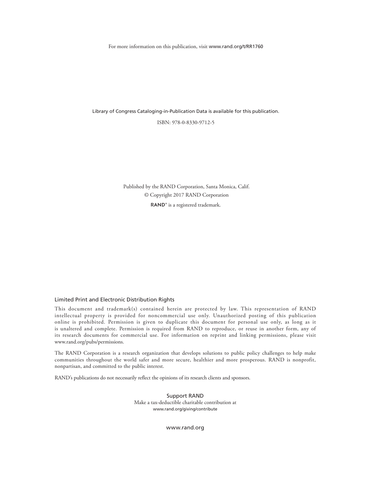For more information on this publication, visit [www.rand.org/t/RR1760](http://www.rand.org/t/RR1760)

Library of Congress Cataloging-in-Publication Data is available for this publication.

ISBN: 978-0-8330-9712-5

Published by the RAND Corporation, Santa Monica, Calif. © Copyright 2017 RAND Corporation RAND<sup>®</sup> is a registered trademark.

#### Limited Print and Electronic Distribution Rights

This document and trademark(s) contained herein are protected by law. This representation of RAND intellectual property is provided for noncommercial use only. Unauthorized posting of this publication online is prohibited. Permission is given to duplicate this document for personal use only, as long as it is unaltered and complete. Permission is required from RAND to reproduce, or reuse in another form, any of its research documents for commercial use. For information on reprint and linking permissions, please visit [www.rand.org/pubs/permissions.](http://www.rand.org/pubs/permissions)

The RAND Corporation is a research organization that develops solutions to public policy challenges to help make communities throughout the world safer and more secure, healthier and more prosperous. RAND is nonprofit, nonpartisan, and committed to the public interest.

RAND's publications do not necessarily reflect the opinions of its research clients and sponsors.

Support RAND Make a tax-deductible charitable contribution at [www.rand.org/giving/contribute](http://www.rand.org/giving/contribute)

[www.rand.org](http://www.rand.org)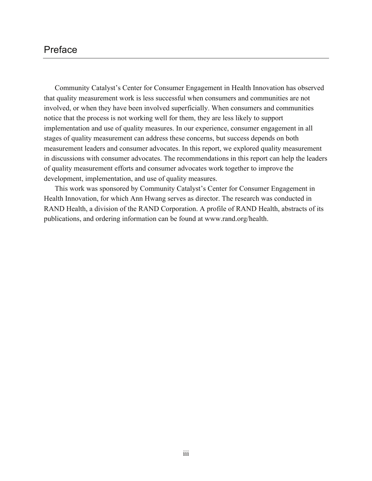## Preface

Community Catalyst's Center for Consumer Engagement in Health Innovation has observed that quality measurement work is less successful when consumers and communities are not involved, or when they have been involved superficially. When consumers and communities notice that the process is not working well for them, they are less likely to support implementation and use of quality measures. In our experience, consumer engagement in all stages of quality measurement can address these concerns, but success depends on both measurement leaders and consumer advocates. In this report, we explored quality measurement in discussions with consumer advocates. The recommendations in this report can help the leaders of quality measurement efforts and consumer advocates work together to improve the development, implementation, and use of quality measures.

This work was sponsored by Community Catalyst's Center for Consumer Engagement in Health Innovation, for which Ann Hwang serves as director. The research was conducted in RAND Health, a division of the RAND Corporation. A profile of RAND Health, abstracts of its publications, and ordering information can be found at [www.rand.org/health.](http://www.rand.org/health)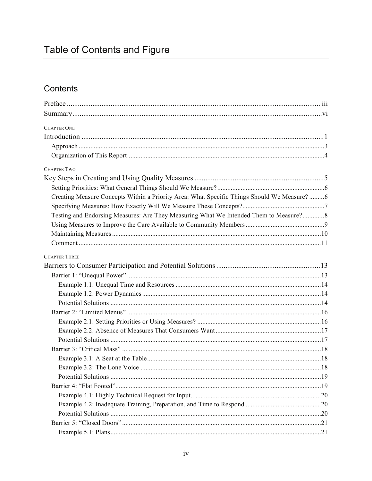# Table of Contents and Figure

## Contents

| <b>CHAPTER ONE</b><br>Creating Measure Concepts Within a Priority Area: What Specific Things Should We Measure? 6<br>Testing and Endorsing Measures: Are They Measuring What We Intended Them to Measure?8 |                      |  |
|------------------------------------------------------------------------------------------------------------------------------------------------------------------------------------------------------------|----------------------|--|
|                                                                                                                                                                                                            |                      |  |
|                                                                                                                                                                                                            |                      |  |
|                                                                                                                                                                                                            |                      |  |
|                                                                                                                                                                                                            |                      |  |
|                                                                                                                                                                                                            |                      |  |
|                                                                                                                                                                                                            | <b>CHAPTER TWO</b>   |  |
|                                                                                                                                                                                                            |                      |  |
|                                                                                                                                                                                                            |                      |  |
|                                                                                                                                                                                                            |                      |  |
|                                                                                                                                                                                                            |                      |  |
|                                                                                                                                                                                                            |                      |  |
|                                                                                                                                                                                                            |                      |  |
|                                                                                                                                                                                                            |                      |  |
|                                                                                                                                                                                                            |                      |  |
|                                                                                                                                                                                                            | <b>CHAPTER THREE</b> |  |
|                                                                                                                                                                                                            |                      |  |
|                                                                                                                                                                                                            |                      |  |
|                                                                                                                                                                                                            |                      |  |
|                                                                                                                                                                                                            |                      |  |
|                                                                                                                                                                                                            |                      |  |
|                                                                                                                                                                                                            |                      |  |
|                                                                                                                                                                                                            |                      |  |
|                                                                                                                                                                                                            |                      |  |
|                                                                                                                                                                                                            |                      |  |
|                                                                                                                                                                                                            |                      |  |
|                                                                                                                                                                                                            |                      |  |
|                                                                                                                                                                                                            |                      |  |
|                                                                                                                                                                                                            |                      |  |
|                                                                                                                                                                                                            |                      |  |
|                                                                                                                                                                                                            |                      |  |
|                                                                                                                                                                                                            |                      |  |
|                                                                                                                                                                                                            |                      |  |
|                                                                                                                                                                                                            |                      |  |
|                                                                                                                                                                                                            |                      |  |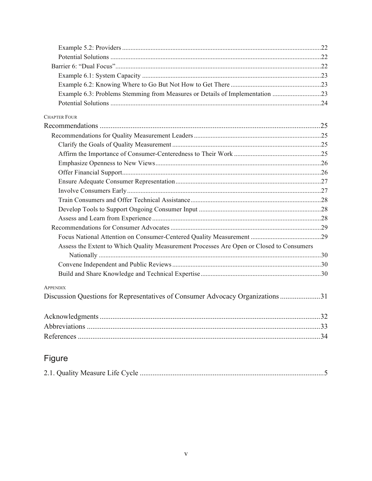| <b>CHAPTER FOUR</b>                                                                      |  |
|------------------------------------------------------------------------------------------|--|
|                                                                                          |  |
|                                                                                          |  |
|                                                                                          |  |
|                                                                                          |  |
|                                                                                          |  |
|                                                                                          |  |
|                                                                                          |  |
|                                                                                          |  |
|                                                                                          |  |
|                                                                                          |  |
|                                                                                          |  |
|                                                                                          |  |
|                                                                                          |  |
| Assess the Extent to Which Quality Measurement Processes Are Open or Closed to Consumers |  |
|                                                                                          |  |
|                                                                                          |  |
|                                                                                          |  |
| <b>APPENDIX</b>                                                                          |  |
| Discussion Questions for Representatives of Consumer Advocacy Organizations 31           |  |
|                                                                                          |  |
|                                                                                          |  |
|                                                                                          |  |
| Figure                                                                                   |  |

|--|--|--|--|--|--|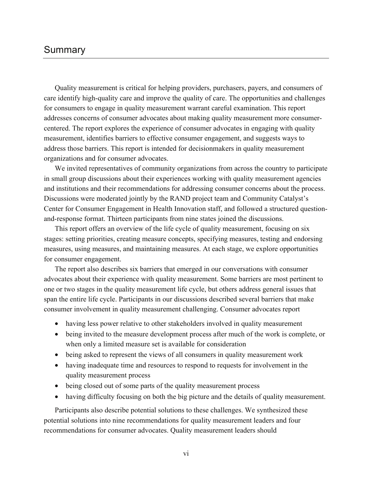## Summary

Quality measurement is critical for helping providers, purchasers, payers, and consumers of care identify high-quality care and improve the quality of care. The opportunities and challenges for consumers to engage in quality measurement warrant careful examination. This report addresses concerns of consumer advocates about making quality measurement more consumercentered. The report explores the experience of consumer advocates in engaging with quality measurement, identifies barriers to effective consumer engagement, and suggests ways to address those barriers. This report is intended for decisionmakers in quality measurement organizations and for consumer advocates.

We invited representatives of community organizations from across the country to participate in small group discussions about their experiences working with quality measurement agencies and institutions and their recommendations for addressing consumer concerns about the process. Discussions were moderated jointly by the RAND project team and Community Catalyst's Center for Consumer Engagement in Health Innovation staff, and followed a structured questionand-response format. Thirteen participants from nine states joined the discussions.

This report offers an overview of the life cycle of quality measurement, focusing on six stages: setting priorities, creating measure concepts, specifying measures, testing and endorsing measures, using measures, and maintaining measures. At each stage, we explore opportunities for consumer engagement.

The report also describes six barriers that emerged in our conversations with consumer advocates about their experience with quality measurement. Some barriers are most pertinent to one or two stages in the quality measurement life cycle, but others address general issues that span the entire life cycle. Participants in our discussions described several barriers that make consumer involvement in quality measurement challenging. Consumer advocates report

- having less power relative to other stakeholders involved in quality measurement
- being invited to the measure development process after much of the work is complete, or when only a limited measure set is available for consideration
- being asked to represent the views of all consumers in quality measurement work
- having inadequate time and resources to respond to requests for involvement in the quality measurement process
- being closed out of some parts of the quality measurement process
- having difficulty focusing on both the big picture and the details of quality measurement.

Participants also describe potential solutions to these challenges. We synthesized these potential solutions into nine recommendations for quality measurement leaders and four recommendations for consumer advocates. Quality measurement leaders should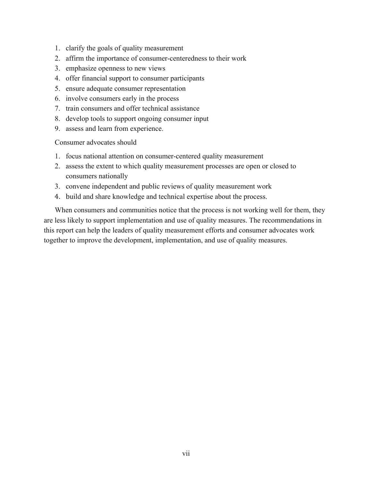- 1. clarify the goals of quality measurement
- 2. affirm the importance of consumer-centeredness to their work
- 3. emphasize openness to new views
- 4. offer financial support to consumer participants
- 5. ensure adequate consumer representation
- 6. involve consumers early in the process
- 7. train consumers and offer technical assistance
- 8. develop tools to support ongoing consumer input
- 9. assess and learn from experience.

Consumer advocates should

- 1. focus national attention on consumer-centered quality measurement
- 2. assess the extent to which quality measurement processes are open or closed to consumers nationally
- 3. convene independent and public reviews of quality measurement work
- 4. build and share knowledge and technical expertise about the process.

When consumers and communities notice that the process is not working well for them, they are less likely to support implementation and use of quality measures. The recommendations in this report can help the leaders of quality measurement efforts and consumer advocates work together to improve the development, implementation, and use of quality measures.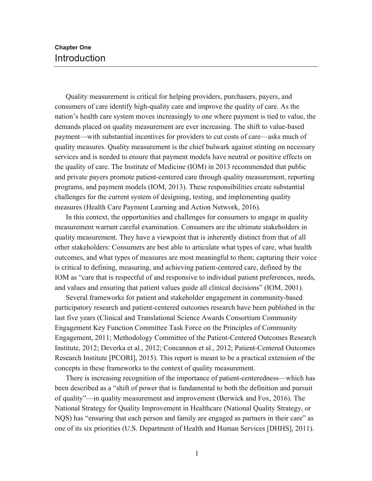## **Chapter One** Introduction

Quality measurement is critical for helping providers, purchasers, payers, and consumers of care identify high-quality care and improve the quality of care. As the nation's health care system moves increasingly to one where payment is tied to value, the demands placed on quality measurement are ever increasing. The shift to value-based payment—with substantial incentives for providers to cut costs of care—asks much of quality measures. Quality measurement is the chief bulwark against stinting on necessary services and is needed to ensure that payment models have neutral or positive effects on the quality of care. The Institute of Medicine (IOM) in 2013 recommended that public and private payers promote patient-centered care through quality measurement, reporting programs, and payment models (IOM, 2013). These responsibilities create substantial challenges for the current system of designing, testing, and implementing quality measures (Health Care Payment Learning and Action Network, 2016).

In this context, the opportunities and challenges for consumers to engage in quality measurement warrant careful examination. Consumers are the ultimate stakeholders in quality measurement. They have a viewpoint that is inherently distinct from that of all other stakeholders: Consumers are best able to articulate what types of care, what health outcomes, and what types of measures are most meaningful to them; capturing their voice is critical to defining, measuring, and achieving patient-centered care, defined by the IOM as "care that is respectful of and responsive to individual patient preferences, needs, and values and ensuring that patient values guide all clinical decisions" (IOM, 2001).

Several frameworks for patient and stakeholder engagement in community-based participatory research and patient-centered outcomes research have been published in the last five years (Clinical and Translational Science Awards Consortium Community Engagement Key Function Committee Task Force on the Principles of Community Engagement, 2011; Methodology Committee of the Patient-Centered Outcomes Research Institute, 2012; Deverka et al., 2012; Concannon et al., 2012; Patient-Centered Outcomes Research Institute [PCORI], 2015). This report is meant to be a practical extension of the concepts in these frameworks to the context of quality measurement.

There is increasing recognition of the importance of patient-centeredness—which has been described as a "shift of power that is fundamental to both the definition and pursuit of quality"—in quality measurement and improvement (Berwick and Fox, 2016). The National Strategy for Quality Improvement in Healthcare (National Quality Strategy, or NQS) has "ensuring that each person and family are engaged as partners in their care" as one of its six priorities (U.S. Department of Health and Human Services [DHHS], 2011).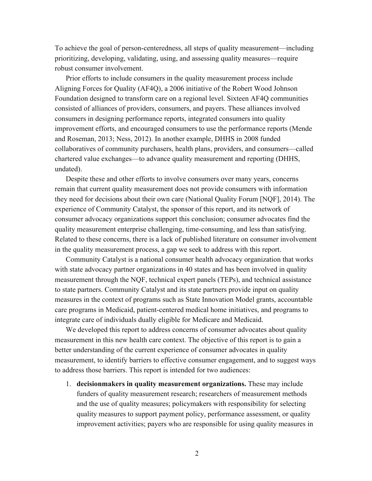To achieve the goal of person-centeredness, all steps of quality measurement—including prioritizing, developing, validating, using, and assessing quality measures—require robust consumer involvement.

Prior efforts to include consumers in the quality measurement process include Aligning Forces for Quality (AF4Q), a 2006 initiative of the Robert Wood Johnson Foundation designed to transform care on a regional level. Sixteen AF4Q communities consisted of alliances of providers, consumers, and payers. These alliances involved consumers in designing performance reports, integrated consumers into quality improvement efforts, and encouraged consumers to use the performance reports (Mende and Roseman, 2013; Ness, 2012). In another example, DHHS in 2008 funded collaboratives of community purchasers, health plans, providers, and consumers—called chartered value exchanges—to advance quality measurement and reporting (DHHS, undated).

Despite these and other efforts to involve consumers over many years, concerns remain that current quality measurement does not provide consumers with information they need for decisions about their own care (National Quality Forum [NQF], 2014). The experience of Community Catalyst, the sponsor of this report, and its network of consumer advocacy organizations support this conclusion; consumer advocates find the quality measurement enterprise challenging, time-consuming, and less than satisfying. Related to these concerns, there is a lack of published literature on consumer involvement in the quality measurement process, a gap we seek to address with this report.

Community Catalyst is a national consumer health advocacy organization that works with state advocacy partner organizations in 40 states and has been involved in quality measurement through the NQF, technical expert panels (TEPs), and technical assistance to state partners. Community Catalyst and its state partners provide input on quality measures in the context of programs such as State Innovation Model grants, accountable care programs in Medicaid, patient-centered medical home initiatives, and programs to integrate care of individuals dually eligible for Medicare and Medicaid.

We developed this report to address concerns of consumer advocates about quality measurement in this new health care context. The objective of this report is to gain a better understanding of the current experience of consumer advocates in quality measurement, to identify barriers to effective consumer engagement, and to suggest ways to address those barriers. This report is intended for two audiences:

1. **decisionmakers in quality measurement organizations.** These may include funders of quality measurement research; researchers of measurement methods and the use of quality measures; policymakers with responsibility for selecting quality measures to support payment policy, performance assessment, or quality improvement activities; payers who are responsible for using quality measures in

2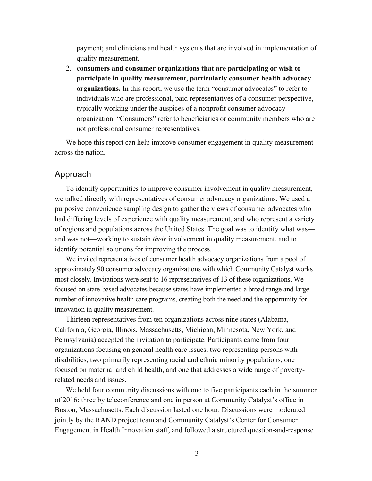payment; and clinicians and health systems that are involved in implementation of quality measurement.

2. **consumers and consumer organizations that are participating or wish to participate in quality measurement, particularly consumer health advocacy organizations.** In this report, we use the term "consumer advocates" to refer to individuals who are professional, paid representatives of a consumer perspective, typically working under the auspices of a nonprofit consumer advocacy organization. "Consumers" refer to beneficiaries or community members who are not professional consumer representatives.

We hope this report can help improve consumer engagement in quality measurement across the nation.

#### Approach

To identify opportunities to improve consumer involvement in quality measurement, we talked directly with representatives of consumer advocacy organizations. We used a purposive convenience sampling design to gather the views of consumer advocates who had differing levels of experience with quality measurement, and who represent a variety of regions and populations across the United States. The goal was to identify what was and was not—working to sustain *their* involvement in quality measurement, and to identify potential solutions for improving the process.

We invited representatives of consumer health advocacy organizations from a pool of approximately 90 consumer advocacy organizations with which Community Catalyst works most closely. Invitations were sent to 16 representatives of 13 of these organizations. We focused on state-based advocates because states have implemented a broad range and large number of innovative health care programs, creating both the need and the opportunity for innovation in quality measurement.

Thirteen representatives from ten organizations across nine states (Alabama, California, Georgia, Illinois, Massachusetts, Michigan, Minnesota, New York, and Pennsylvania) accepted the invitation to participate. Participants came from four organizations focusing on general health care issues, two representing persons with disabilities, two primarily representing racial and ethnic minority populations, one focused on maternal and child health, and one that addresses a wide range of povertyrelated needs and issues.

We held four community discussions with one to five participants each in the summer of 2016: three by teleconference and one in person at Community Catalyst's office in Boston, Massachusetts. Each discussion lasted one hour. Discussions were moderated jointly by the RAND project team and Community Catalyst's Center for Consumer Engagement in Health Innovation staff, and followed a structured question-and-response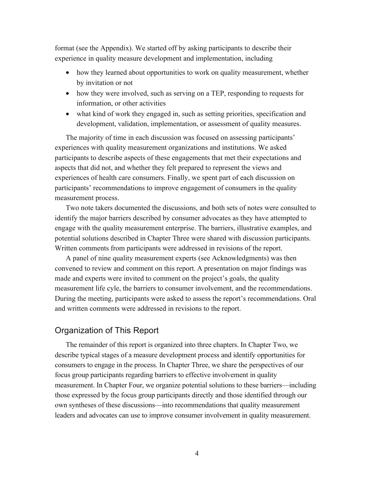format (see the Appendix). We started off by asking participants to describe their experience in quality measure development and implementation, including 

- how they learned about opportunities to work on quality measurement, whether by invitation or not
- how they were involved, such as serving on a TEP, responding to requests for information, or other activities
- what kind of work they engaged in, such as setting priorities, specification and development, validation, implementation, or assessment of quality measures.

The majority of time in each discussion was focused on assessing participants' experiences with quality measurement organizations and institutions. We asked participants to describe aspects of these engagements that met their expectations and aspects that did not, and whether they felt prepared to represent the views and experiences of health care consumers. Finally, we spent part of each discussion on participants' recommendations to improve engagement of consumers in the quality measurement process.

Two note takers documented the discussions, and both sets of notes were consulted to identify the major barriers described by consumer advocates as they have attempted to engage with the quality measurement enterprise. The barriers, illustrative examples, and potential solutions described in Chapter Three were shared with discussion participants. Written comments from participants were addressed in revisions of the report.

A panel of nine quality measurement experts (see Acknowledgments) was then convened to review and comment on this report. A presentation on major findings was made and experts were invited to comment on the project's goals, the quality measurement life cyle, the barriers to consumer involvement, and the recommendations. During the meeting, participants were asked to assess the report's recommendations. Oral and written comments were addressed in revisions to the report.

## Organization of This Report

The remainder of this report is organized into three chapters. In Chapter Two, we describe typical stages of a measure development process and identify opportunities for consumers to engage in the process. In Chapter Three, we share the perspectives of our focus group participants regarding barriers to effective involvement in quality measurement. In Chapter Four, we organize potential solutions to these barriers—including those expressed by the focus group participants directly and those identified through our own syntheses of these discussions—into recommendations that quality measurement leaders and advocates can use to improve consumer involvement in quality measurement.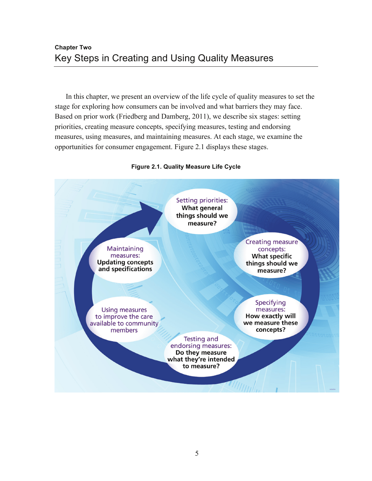In this chapter, we present an overview of the life cycle of quality measures to set the stage for exploring how consumers can be involved and what barriers they may face. Based on prior work (Friedberg and Damberg, 2011), we describe six stages: setting priorities, creating measure concepts, specifying measures, testing and endorsing measures, using measures, and maintaining measures. At each stage, we examine the opportunities for consumer engagement. Figure 2.1 displays these stages.



#### **Figure 2.1. Quality Measure Life Cycle**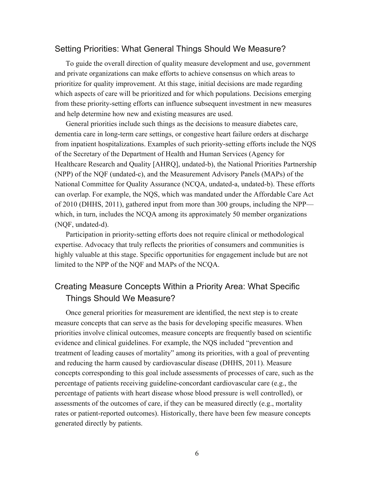## Setting Priorities: What General Things Should We Measure?

To guide the overall direction of quality measure development and use, government and private organizations can make efforts to achieve consensus on which areas to prioritize for quality improvement. At this stage, initial decisions are made regarding which aspects of care will be prioritized and for which populations. Decisions emerging from these priority-setting efforts can influence subsequent investment in new measures and help determine how new and existing measures are used.

General priorities include such things as the decisions to measure diabetes care, dementia care in long-term care settings, or congestive heart failure orders at discharge from inpatient hospitalizations. Examples of such priority-setting efforts include the NQS of the Secretary of the Department of Health and Human Services (Agency for Healthcare Research and Quality [AHRQ], undated-b), the National Priorities Partnership (NPP) of the NQF (undated-c), and the Measurement Advisory Panels (MAPs) of the National Committee for Quality Assurance (NCQA, undated-a, undated-b). These efforts can overlap. For example, the NQS, which was mandated under the Affordable Care Act of 2010 (DHHS, 2011), gathered input from more than 300 groups, including the NPP which, in turn, includes the NCQA among its approximately 50 member organizations (NQF, undated-d).

Participation in priority-setting efforts does not require clinical or methodological expertise. Advocacy that truly reflects the priorities of consumers and communities is highly valuable at this stage. Specific opportunities for engagement include but are not limited to the NPP of the NQF and MAPs of the NCQA.

## Creating Measure Concepts Within a Priority Area: What Specific Things Should We Measure?

Once general priorities for measurement are identified, the next step is to create measure concepts that can serve as the basis for developing specific measures. When priorities involve clinical outcomes, measure concepts are frequently based on scientific evidence and clinical guidelines. For example, the NQS included "prevention and treatment of leading causes of mortality" among its priorities, with a goal of preventing and reducing the harm caused by cardiovascular disease (DHHS, 2011). Measure concepts corresponding to this goal include assessments of processes of care, such as the percentage of patients receiving guideline-concordant cardiovascular care (e.g., the percentage of patients with heart disease whose blood pressure is well controlled), or assessments of the outcomes of care, if they can be measured directly (e.g., mortality rates or patient-reported outcomes). Historically, there have been few measure concepts generated directly by patients.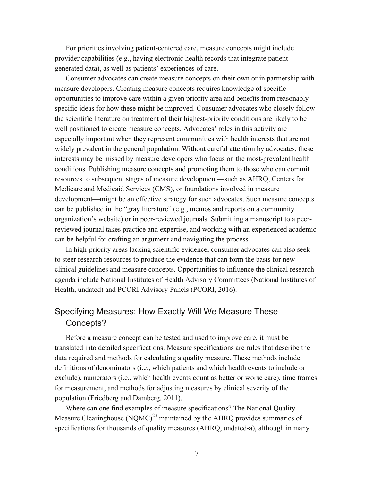For priorities involving patient-centered care, measure concepts might include provider capabilities (e.g., having electronic health records that integrate patientgenerated data), as well as patients' experiences of care.

Consumer advocates can create measure concepts on their own or in partnership with measure developers. Creating measure concepts requires knowledge of specific opportunities to improve care within a given priority area and benefits from reasonably specific ideas for how these might be improved. Consumer advocates who closely follow the scientific literature on treatment of their highest-priority conditions are likely to be well positioned to create measure concepts. Advocates' roles in this activity are especially important when they represent communities with health interests that are not widely prevalent in the general population. Without careful attention by advocates, these interests may be missed by measure developers who focus on the most-prevalent health conditions. Publishing measure concepts and promoting them to those who can commit resources to subsequent stages of measure development—such as AHRQ, Centers for Medicare and Medicaid Services (CMS), or foundations involved in measure development—might be an effective strategy for such advocates. Such measure concepts can be published in the "gray literature" (e.g., memos and reports on a community organization's website) or in peer-reviewed journals. Submitting a manuscript to a peerreviewed journal takes practice and expertise, and working with an experienced academic can be helpful for crafting an argument and navigating the process.

In high-priority areas lacking scientific evidence, consumer advocates can also seek to steer research resources to produce the evidence that can form the basis for new clinical guidelines and measure concepts. Opportunities to influence the clinical research agenda include National Institutes of Health Advisory Committees (National Institutes of Health, undated) and PCORI Advisory Panels (PCORI, 2016).

## Specifying Measures: How Exactly Will We Measure These Concepts?

Before a measure concept can be tested and used to improve care, it must be translated into detailed specifications. Measure specifications are rules that describe the data required and methods for calculating a quality measure. These methods include definitions of denominators (i.e., which patients and which health events to include or exclude), numerators (i.e., which health events count as better or worse care), time frames for measurement, and methods for adjusting measures by clinical severity of the population (Friedberg and Damberg, 2011).

Where can one find examples of measure specifications? The National Quality Measure Clearinghouse  $(NOMC)^{23}$  maintained by the AHRO provides summaries of specifications for thousands of quality measures (AHRQ, undated-a), although in many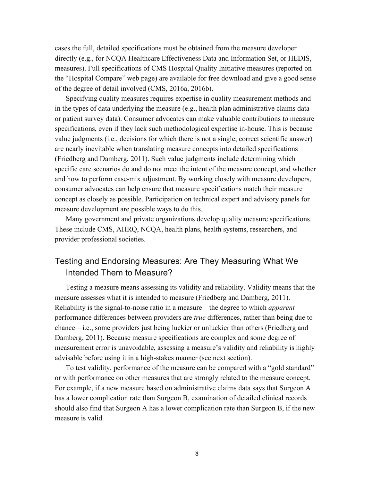cases the full, detailed specifications must be obtained from the measure developer directly (e.g., for NCQA Healthcare Effectiveness Data and Information Set, or HEDIS, measures). Full specifications of CMS Hospital Quality Initiative measures (reported on the "Hospital Compare" web page) are available for free download and give a good sense of the degree of detail involved (CMS, 2016a, 2016b).

Specifying quality measures requires expertise in quality measurement methods and in the types of data underlying the measure (e.g., health plan administrative claims data or patient survey data). Consumer advocates can make valuable contributions to measure specifications, even if they lack such methodological expertise in-house. This is because value judgments (i.e., decisions for which there is not a single, correct scientific answer) are nearly inevitable when translating measure concepts into detailed specifications (Friedberg and Damberg, 2011). Such value judgments include determining which specific care scenarios do and do not meet the intent of the measure concept, and whether and how to perform case-mix adjustment. By working closely with measure developers, consumer advocates can help ensure that measure specifications match their measure concept as closely as possible. Participation on technical expert and advisory panels for measure development are possible ways to do this.

Many government and private organizations develop quality measure specifications. These include CMS, AHRQ, NCQA, health plans, health systems, researchers, and provider professional societies.

## Testing and Endorsing Measures: Are They Measuring What We Intended Them to Measure?

Testing a measure means assessing its validity and reliability. Validity means that the measure assesses what it is intended to measure (Friedberg and Damberg, 2011). Reliability is the signal-to-noise ratio in a measure—the degree to which *apparent* performance differences between providers are *true* differences, rather than being due to chance—i.e., some providers just being luckier or unluckier than others (Friedberg and Damberg, 2011). Because measure specifications are complex and some degree of measurement error is unavoidable, assessing a measure's validity and reliability is highly advisable before using it in a high-stakes manner (see next section).

To test validity, performance of the measure can be compared with a "gold standard" or with performance on other measures that are strongly related to the measure concept. For example, if a new measure based on administrative claims data says that Surgeon A has a lower complication rate than Surgeon B, examination of detailed clinical records should also find that Surgeon A has a lower complication rate than Surgeon B, if the new measure is valid.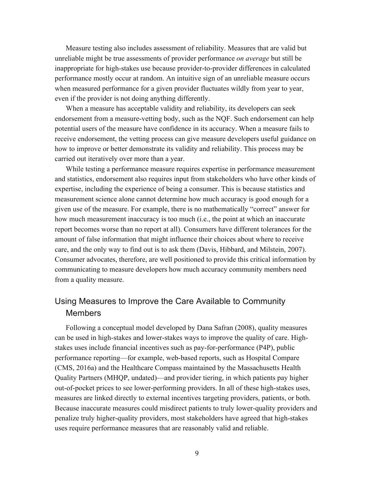Measure testing also includes assessment of reliability. Measures that are valid but unreliable might be true assessments of provider performance *on average* but still be inappropriate for high-stakes use because provider-to-provider differences in calculated performance mostly occur at random. An intuitive sign of an unreliable measure occurs when measured performance for a given provider fluctuates wildly from year to year, even if the provider is not doing anything differently.

When a measure has acceptable validity and reliability, its developers can seek endorsement from a measure-vetting body, such as the NQF. Such endorsement can help potential users of the measure have confidence in its accuracy. When a measure fails to receive endorsement, the vetting process can give measure developers useful guidance on how to improve or better demonstrate its validity and reliability. This process may be carried out iteratively over more than a year.

While testing a performance measure requires expertise in performance measurement and statistics, endorsement also requires input from stakeholders who have other kinds of expertise, including the experience of being a consumer. This is because statistics and measurement science alone cannot determine how much accuracy is good enough for a given use of the measure. For example, there is no mathematically "correct" answer for how much measurement inaccuracy is too much (i.e., the point at which an inaccurate report becomes worse than no report at all). Consumers have different tolerances for the amount of false information that might influence their choices about where to receive care, and the only way to find out is to ask them (Davis, Hibbard, and Milstein, 2007). Consumer advocates, therefore, are well positioned to provide this critical information by communicating to measure developers how much accuracy community members need from a quality measure.

## Using Measures to Improve the Care Available to Community Members

Following a conceptual model developed by Dana Safran (2008), quality measures can be used in high-stakes and lower-stakes ways to improve the quality of care. Highstakes uses include financial incentives such as pay-for-performance (P4P), public performance reporting—for example, web-based reports, such as Hospital Compare (CMS, 2016a) and the Healthcare Compass maintained by the Massachusetts Health Quality Partners (MHQP, undated)—and provider tiering, in which patients pay higher out-of-pocket prices to see lower-performing providers. In all of these high-stakes uses, measures are linked directly to external incentives targeting providers, patients, or both. Because inaccurate measures could misdirect patients to truly lower-quality providers and penalize truly higher-quality providers, most stakeholders have agreed that high-stakes uses require performance measures that are reasonably valid and reliable.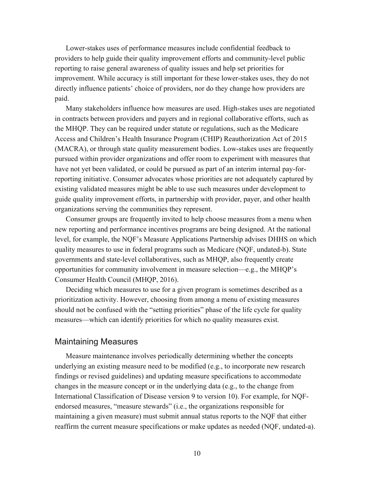Lower-stakes uses of performance measures include confidential feedback to providers to help guide their quality improvement efforts and community-level public reporting to raise general awareness of quality issues and help set priorities for improvement. While accuracy is still important for these lower-stakes uses, they do not directly influence patients' choice of providers, nor do they change how providers are paid.

Many stakeholders influence how measures are used. High-stakes uses are negotiated in contracts between providers and payers and in regional collaborative efforts, such as the MHQP. They can be required under statute or regulations, such as the Medicare Access and Children's Health Insurance Program (CHIP) Reauthorization Act of 2015 (MACRA), or through state quality measurement bodies. Low-stakes uses are frequently pursued within provider organizations and offer room to experiment with measures that have not yet been validated, or could be pursued as part of an interim internal pay-forreporting initiative. Consumer advocates whose priorities are not adequately captured by existing validated measures might be able to use such measures under development to guide quality improvement efforts, in partnership with provider, payer, and other health organizations serving the communities they represent.

Consumer groups are frequently invited to help choose measures from a menu when new reporting and performance incentives programs are being designed. At the national level, for example, the NQF's Measure Applications Partnership advises DHHS on which quality measures to use in federal programs such as Medicare (NQF, undated-b). State governments and state-level collaboratives, such as MHQP, also frequently create opportunities for community involvement in measure selection—e.g., the MHQP's Consumer Health Council (MHQP, 2016).

Deciding which measures to use for a given program is sometimes described as a prioritization activity. However, choosing from among a menu of existing measures should not be confused with the "setting priorities" phase of the life cycle for quality measures—which can identify priorities for which no quality measures exist.

## Maintaining Measures

Measure maintenance involves periodically determining whether the concepts underlying an existing measure need to be modified (e.g., to incorporate new research findings or revised guidelines) and updating measure specifications to accommodate changes in the measure concept or in the underlying data (e.g., to the change from International Classification of Disease version 9 to version 10). For example, for NQFendorsed measures, "measure stewards" (i.e., the organizations responsible for maintaining a given measure) must submit annual status reports to the NQF that either reaffirm the current measure specifications or make updates as needed (NQF, undated-a).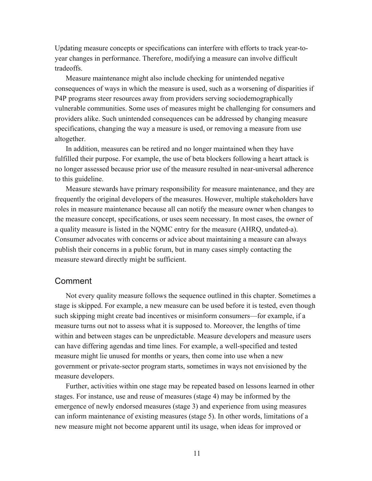Updating measure concepts or specifications can interfere with efforts to track year-toyear changes in performance. Therefore, modifying a measure can involve difficult tradeoffs.

Measure maintenance might also include checking for unintended negative consequences of ways in which the measure is used, such as a worsening of disparities if P4P programs steer resources away from providers serving sociodemographically vulnerable communities. Some uses of measures might be challenging for consumers and providers alike. Such unintended consequences can be addressed by changing measure specifications, changing the way a measure is used, or removing a measure from use altogether.

In addition, measures can be retired and no longer maintained when they have fulfilled their purpose. For example, the use of beta blockers following a heart attack is no longer assessed because prior use of the measure resulted in near-universal adherence to this guideline.

Measure stewards have primary responsibility for measure maintenance, and they are frequently the original developers of the measures. However, multiple stakeholders have roles in measure maintenance because all can notify the measure owner when changes to the measure concept, specifications, or uses seem necessary. In most cases, the owner of a quality measure is listed in the NQMC entry for the measure (AHRQ, undated-a). Consumer advocates with concerns or advice about maintaining a measure can always publish their concerns in a public forum, but in many cases simply contacting the measure steward directly might be sufficient.

## Comment

Not every quality measure follows the sequence outlined in this chapter. Sometimes a stage is skipped. For example, a new measure can be used before it is tested, even though such skipping might create bad incentives or misinform consumers—for example, if a measure turns out not to assess what it is supposed to. Moreover, the lengths of time within and between stages can be unpredictable. Measure developers and measure users can have differing agendas and time lines. For example, a well-specified and tested measure might lie unused for months or years, then come into use when a new government or private-sector program starts, sometimes in ways not envisioned by the measure developers.

Further, activities within one stage may be repeated based on lessons learned in other stages. For instance, use and reuse of measures (stage 4) may be informed by the emergence of newly endorsed measures (stage 3) and experience from using measures can inform maintenance of existing measures (stage 5). In other words, limitations of a new measure might not become apparent until its usage, when ideas for improved or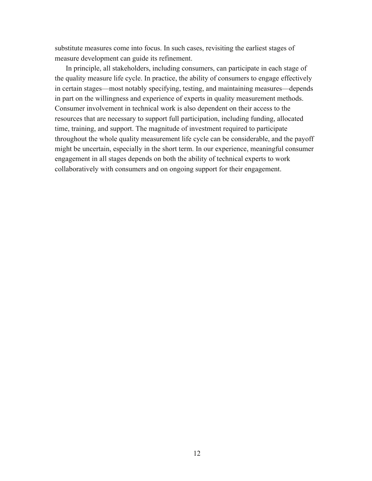substitute measures come into focus. In such cases, revisiting the earliest stages of measure development can guide its refinement.

In principle, all stakeholders, including consumers, can participate in each stage of the quality measure life cycle. In practice, the ability of consumers to engage effectively in certain stages—most notably specifying, testing, and maintaining measures—depends in part on the willingness and experience of experts in quality measurement methods. Consumer involvement in technical work is also dependent on their access to the resources that are necessary to support full participation, including funding, allocated time, training, and support. The magnitude of investment required to participate throughout the whole quality measurement life cycle can be considerable, and the payoff might be uncertain, especially in the short term. In our experience, meaningful consumer engagement in all stages depends on both the ability of technical experts to work collaboratively with consumers and on ongoing support for their engagement.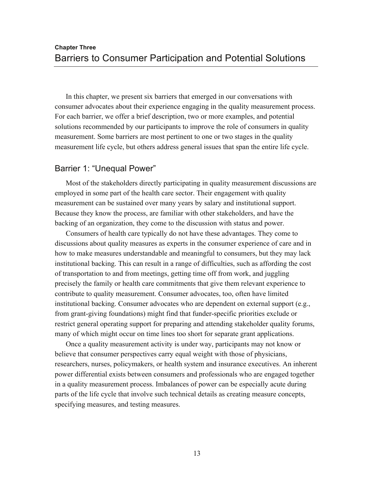In this chapter, we present six barriers that emerged in our conversations with consumer advocates about their experience engaging in the quality measurement process. For each barrier, we offer a brief description, two or more examples, and potential solutions recommended by our participants to improve the role of consumers in quality measurement. Some barriers are most pertinent to one or two stages in the quality measurement life cycle, but others address general issues that span the entire life cycle.

## Barrier 1: "Unequal Power"

Most of the stakeholders directly participating in quality measurement discussions are employed in some part of the health care sector. Their engagement with quality measurement can be sustained over many years by salary and institutional support. Because they know the process, are familiar with other stakeholders, and have the backing of an organization, they come to the discussion with status and power.

Consumers of health care typically do not have these advantages. They come to discussions about quality measures as experts in the consumer experience of care and in how to make measures understandable and meaningful to consumers, but they may lack institutional backing. This can result in a range of difficulties, such as affording the cost of transportation to and from meetings, getting time off from work, and juggling precisely the family or health care commitments that give them relevant experience to contribute to quality measurement. Consumer advocates, too, often have limited institutional backing. Consumer advocates who are dependent on external support (e.g., from grant-giving foundations) might find that funder-specific priorities exclude or restrict general operating support for preparing and attending stakeholder quality forums, many of which might occur on time lines too short for separate grant applications.

Once a quality measurement activity is under way, participants may not know or believe that consumer perspectives carry equal weight with those of physicians, researchers, nurses, policymakers, or health system and insurance executives. An inherent power differential exists between consumers and professionals who are engaged together in a quality measurement process. Imbalances of power can be especially acute during parts of the life cycle that involve such technical details as creating measure concepts, specifying measures, and testing measures.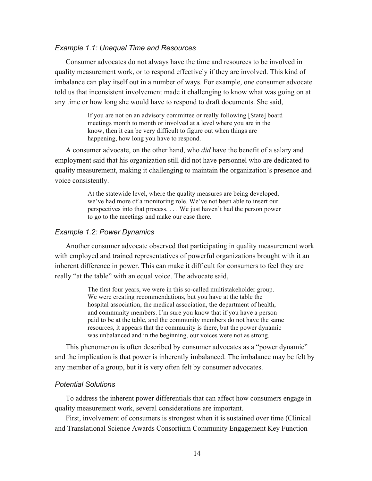#### *Example 1.1: Unequal Time and Resources*

Consumer advocates do not always have the time and resources to be involved in quality measurement work, or to respond effectively if they are involved. This kind of imbalance can play itself out in a number of ways. For example, one consumer advocate told us that inconsistent involvement made it challenging to know what was going on at any time or how long she would have to respond to draft documents. She said,

> If you are not on an advisory committee or really following [State] board meetings month to month or involved at a level where you are in the know, then it can be very difficult to figure out when things are happening, how long you have to respond.

A consumer advocate, on the other hand, who *did* have the benefit of a salary and employment said that his organization still did not have personnel who are dedicated to quality measurement, making it challenging to maintain the organization's presence and voice consistently.

> At the statewide level, where the quality measures are being developed, we've had more of a monitoring role. We've not been able to insert our perspectives into that process. . . . We just haven't had the person power to go to the meetings and make our case there.

#### *Example 1.2: Power Dynamics*

Another consumer advocate observed that participating in quality measurement work with employed and trained representatives of powerful organizations brought with it an inherent difference in power. This can make it difficult for consumers to feel they are really "at the table" with an equal voice. The advocate said,

> The first four years, we were in this so-called multistakeholder group. We were creating recommendations, but you have at the table the hospital association, the medical association, the department of health, and community members. I'm sure you know that if you have a person paid to be at the table, and the community members do not have the same resources, it appears that the community is there, but the power dynamic was unbalanced and in the beginning, our voices were not as strong.

This phenomenon is often described by consumer advocates as a "power dynamic" and the implication is that power is inherently imbalanced. The imbalance may be felt by any member of a group, but it is very often felt by consumer advocates.

#### *Potential Solutions*

To address the inherent power differentials that can affect how consumers engage in quality measurement work, several considerations are important.

First, involvement of consumers is strongest when it is sustained over time (Clinical and Translational Science Awards Consortium Community Engagement Key Function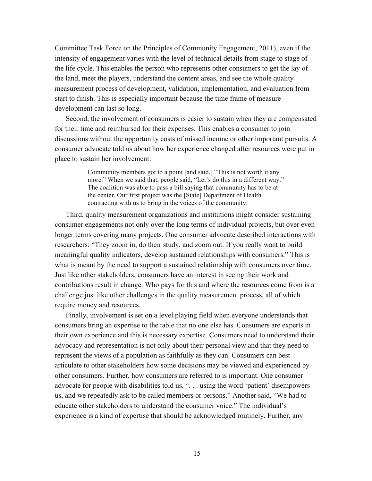Committee Task Force on the Principles of Community Engagement, 2011), even if the intensity of engagement varies with the level of technical details from stage to stage of the life cycle. This enables the person who represents other consumers to get the lay of the land, meet the players, understand the content areas, and see the whole quality measurement process of development, validation, implementation, and evaluation from start to finish. This is especially important because the time frame of measure development can last so long.

Second, the involvement of consumers is easier to sustain when they are compensated for their time and reimbursed for their expenses. This enables a consumer to join discussions without the opportunity costs of missed income or other important pursuits. A consumer advocate told us about how her experience changed after resources were put in place to sustain her involvement:

> Community members got to a point [and said,] "This is not worth it any more." When we said that, people said, "Let's do this in a different way." The coalition was able to pass a bill saying that community has to be at the center. Our first project was the [State] Department of Health contracting with us to bring in the voices of the community.

Third, quality measurement organizations and institutions might consider sustaining consumer engagements not only over the long terms of individual projects, but over even longer terms covering many projects. One consumer advocate described interactions with researchers: "They zoom in, do their study, and zoom out. If you really want to build meaningful quality indicators, develop sustained relationships with consumers." This is what is meant by the need to support a sustained relationship with consumers over time. Just like other stakeholders, consumers have an interest in seeing their work and contributions result in change. Who pays for this and where the resources come from is a challenge just like other challenges in the quality measurement process, all of which require money and resources.

Finally, involvement is set on a level playing field when everyone understands that consumers bring an expertise to the table that no one else has. Consumers are experts in their own experience and this is necessary expertise. Consumers need to understand their advocacy and representation is not only about their personal view and that they need to represent the views of a population as faithfully as they can. Consumers can best articulate to other stakeholders how some decisions may be viewed and experienced by other consumers. Further, how consumers are referred to is important. One consumer advocate for people with disabilities told us, ". . . using the word 'patient' disempowers us, and we repeatedly ask to be called members or persons." Another said, "We had to educate other stakeholders to understand the consumer voice." The individual's experience is a kind of expertise that should be acknowledged routinely. Further, any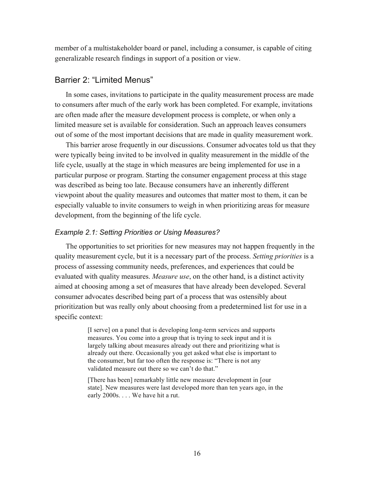member of a multistakeholder board or panel, including a consumer, is capable of citing generalizable research findings in support of a position or view.

## Barrier 2: "Limited Menus"

In some cases, invitations to participate in the quality measurement process are made to consumers after much of the early work has been completed. For example, invitations are often made after the measure development process is complete, or when only a limited measure set is available for consideration. Such an approach leaves consumers out of some of the most important decisions that are made in quality measurement work.

This barrier arose frequently in our discussions. Consumer advocates told us that they were typically being invited to be involved in quality measurement in the middle of the life cycle, usually at the stage in which measures are being implemented for use in a particular purpose or program. Starting the consumer engagement process at this stage was described as being too late. Because consumers have an inherently different viewpoint about the quality measures and outcomes that matter most to them, it can be especially valuable to invite consumers to weigh in when prioritizing areas for measure development, from the beginning of the life cycle.

#### *Example 2.1: Setting Priorities or Using Measures?*

The opportunities to set priorities for new measures may not happen frequently in the quality measurement cycle, but it is a necessary part of the process. *Setting priorities* is a process of assessing community needs, preferences, and experiences that could be evaluated with quality measures. *Measure use*, on the other hand, is a distinct activity aimed at choosing among a set of measures that have already been developed. Several consumer advocates described being part of a process that was ostensibly about prioritization but was really only about choosing from a predetermined list for use in a specific context:

> [I serve] on a panel that is developing long-term services and supports measures. You come into a group that is trying to seek input and it is largely talking about measures already out there and prioritizing what is already out there. Occasionally you get asked what else is important to the consumer, but far too often the response is: "There is not any validated measure out there so we can't do that."

[There has been] remarkably little new measure development in [our state]. New measures were last developed more than ten years ago, in the early 2000s. . . . We have hit a rut.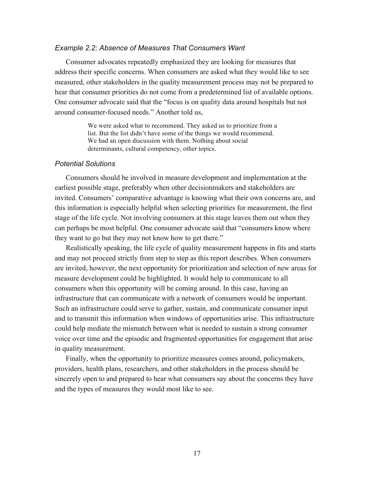#### *Example 2.2: Absence of Measures That Consumers Want*

Consumer advocates repeatedly emphasized they are looking for measures that address their specific concerns. When consumers are asked what they would like to see measured, other stakeholders in the quality measurement process may not be prepared to hear that consumer priorities do not come from a predetermined list of available options. One consumer advocate said that the "focus is on quality data around hospitals but not around consumer-focused needs." Another told us,

> We were asked what to recommend. They asked us to prioritize from a list. But the list didn't have some of the things we would recommend. We had an open discussion with them. Nothing about social determinants, cultural competency, other topics.

#### *Potential Solutions*

Consumers should be involved in measure development and implementation at the earliest possible stage, preferably when other decisionmakers and stakeholders are invited. Consumers' comparative advantage is knowing what their own concerns are, and this information is especially helpful when selecting priorities for measurement, the first stage of the life cycle. Not involving consumers at this stage leaves them out when they can perhaps be most helpful. One consumer advocate said that "consumers know where they want to go but they may not know how to get there."

Realistically speaking, the life cycle of quality measurement happens in fits and starts and may not proceed strictly from step to step as this report describes. When consumers are invited, however, the next opportunity for prioritization and selection of new areas for measure development could be highlighted. It would help to communicate to all consumers when this opportunity will be coming around. In this case, having an infrastructure that can communicate with a network of consumers would be important. Such an infrastructure could serve to gather, sustain, and communicate consumer input and to transmit this information when windows of opportunities arise. This infrastructure could help mediate the mismatch between what is needed to sustain a strong consumer voice over time and the episodic and fragmented opportunities for engagement that arise in quality measurement.

Finally, when the opportunity to prioritize measures comes around, policymakers, providers, health plans, researchers, and other stakeholders in the process should be sincerely open to and prepared to hear what consumers say about the concerns they have and the types of measures they would most like to see.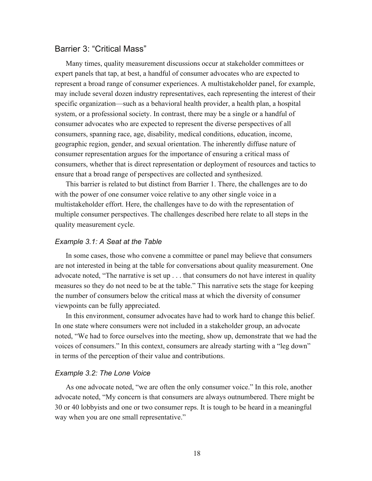#### Barrier 3: "Critical Mass"

Many times, quality measurement discussions occur at stakeholder committees or expert panels that tap, at best, a handful of consumer advocates who are expected to represent a broad range of consumer experiences. A multistakeholder panel, for example, may include several dozen industry representatives, each representing the interest of their specific organization—such as a behavioral health provider, a health plan, a hospital system, or a professional society. In contrast, there may be a single or a handful of consumer advocates who are expected to represent the diverse perspectives of all consumers, spanning race, age, disability, medical conditions, education, income, geographic region, gender, and sexual orientation. The inherently diffuse nature of consumer representation argues for the importance of ensuring a critical mass of consumers, whether that is direct representation or deployment of resources and tactics to ensure that a broad range of perspectives are collected and synthesized.

This barrier is related to but distinct from Barrier 1. There, the challenges are to do with the power of one consumer voice relative to any other single voice in a multistakeholder effort. Here, the challenges have to do with the representation of multiple consumer perspectives. The challenges described here relate to all steps in the quality measurement cycle.

#### *Example 3.1: A Seat at the Table*

In some cases, those who convene a committee or panel may believe that consumers are not interested in being at the table for conversations about quality measurement. One advocate noted, "The narrative is set up . . . that consumers do not have interest in quality measures so they do not need to be at the table." This narrative sets the stage for keeping the number of consumers below the critical mass at which the diversity of consumer viewpoints can be fully appreciated.

In this environment, consumer advocates have had to work hard to change this belief. In one state where consumers were not included in a stakeholder group, an advocate noted, "We had to force ourselves into the meeting, show up, demonstrate that we had the voices of consumers." In this context, consumers are already starting with a "leg down" in terms of the perception of their value and contributions.

#### *Example 3.2: The Lone Voice*

As one advocate noted, "we are often the only consumer voice." In this role, another advocate noted, "My concern is that consumers are always outnumbered. There might be 30 or 40 lobbyists and one or two consumer reps. It is tough to be heard in a meaningful way when you are one small representative."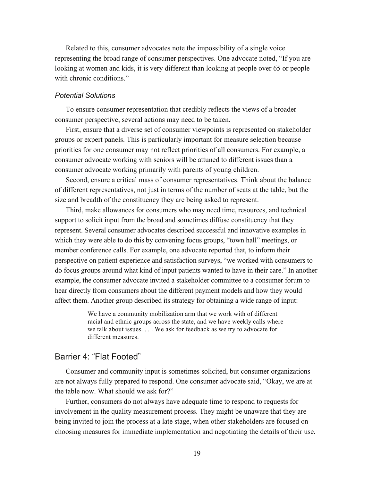Related to this, consumer advocates note the impossibility of a single voice representing the broad range of consumer perspectives. One advocate noted, "If you are looking at women and kids, it is very different than looking at people over 65 or people with chronic conditions."

#### *Potential Solutions*

To ensure consumer representation that credibly reflects the views of a broader consumer perspective, several actions may need to be taken.

First, ensure that a diverse set of consumer viewpoints is represented on stakeholder groups or expert panels. This is particularly important for measure selection because priorities for one consumer may not reflect priorities of all consumers. For example, a consumer advocate working with seniors will be attuned to different issues than a consumer advocate working primarily with parents of young children.

Second, ensure a critical mass of consumer representatives. Think about the balance of different representatives, not just in terms of the number of seats at the table, but the size and breadth of the constituency they are being asked to represent.

Third, make allowances for consumers who may need time, resources, and technical support to solicit input from the broad and sometimes diffuse constituency that they represent. Several consumer advocates described successful and innovative examples in which they were able to do this by convening focus groups, "town hall" meetings, or member conference calls. For example, one advocate reported that, to inform their perspective on patient experience and satisfaction surveys, "we worked with consumers to do focus groups around what kind of input patients wanted to have in their care." In another example, the consumer advocate invited a stakeholder committee to a consumer forum to hear directly from consumers about the different payment models and how they would affect them. Another group described its strategy for obtaining a wide range of input:

> We have a community mobilization arm that we work with of different racial and ethnic groups across the state, and we have weekly calls where we talk about issues. . . . We ask for feedback as we try to advocate for different measures.

#### Barrier 4: "Flat Footed"

Consumer and community input is sometimes solicited, but consumer organizations are not always fully prepared to respond. One consumer advocate said, "Okay, we are at the table now. What should we ask for?"

Further, consumers do not always have adequate time to respond to requests for involvement in the quality measurement process. They might be unaware that they are being invited to join the process at a late stage, when other stakeholders are focused on choosing measures for immediate implementation and negotiating the details of their use.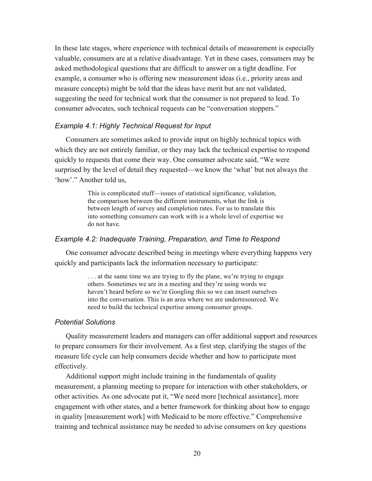In these late stages, where experience with technical details of measurement is especially valuable, consumers are at a relative disadvantage. Yet in these cases, consumers may be asked methodological questions that are difficult to answer on a tight deadline. For example, a consumer who is offering new measurement ideas (i.e., priority areas and measure concepts) might be told that the ideas have merit but are not validated, suggesting the need for technical work that the consumer is not prepared to lead. To consumer advocates, such technical requests can be "conversation stoppers."

#### *Example 4.1: Highly Technical Request for Input*

Consumers are sometimes asked to provide input on highly technical topics with which they are not entirely familiar, or they may lack the technical expertise to respond quickly to requests that come their way. One consumer advocate said, "We were surprised by the level of detail they requested—we know the 'what' but not always the 'how'." Another told us,

> This is complicated stuff—issues of statistical significance, validation, the comparison between the different instruments, what the link is between length of survey and completion rates. For us to translate this into something consumers can work with is a whole level of expertise we do not have.

#### *Example 4.2: Inadequate Training, Preparation, and Time to Respond*

One consumer advocate described being in meetings where everything happens very quickly and participants lack the information necessary to participate:

> . . . at the same time we are trying to fly the plane, we're trying to engage others. Sometimes we are in a meeting and they're using words we haven't heard before so we're Googling this so we can insert ourselves into the conversation. This is an area where we are underresourced. We need to build the technical expertise among consumer groups.

#### *Potential Solutions*

Quality measurement leaders and managers can offer additional support and resources to prepare consumers for their involvement. As a first step, clarifying the stages of the measure life cycle can help consumers decide whether and how to participate most effectively.

Additional support might include training in the fundamentals of quality measurement, a planning meeting to prepare for interaction with other stakeholders, or other activities. As one advocate put it, "We need more [technical assistance], more engagement with other states, and a better framework for thinking about how to engage in quality [measurement work] with Medicaid to be more effective." Comprehensive training and technical assistance may be needed to advise consumers on key questions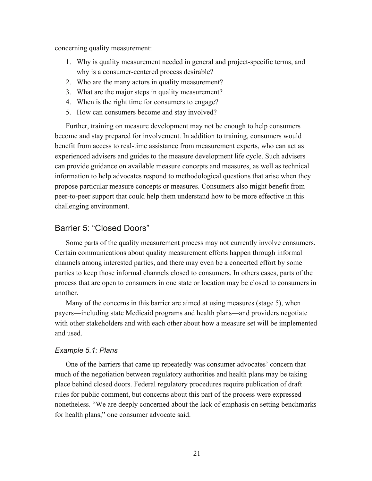concerning quality measurement:

- 1. Why is quality measurement needed in general and project-specific terms, and why is a consumer-centered process desirable?
- 2. Who are the many actors in quality measurement?
- 3. What are the major steps in quality measurement?
- 4. When is the right time for consumers to engage?
- 5. How can consumers become and stay involved?

Further, training on measure development may not be enough to help consumers become and stay prepared for involvement. In addition to training, consumers would benefit from access to real-time assistance from measurement experts, who can act as experienced advisers and guides to the measure development life cycle. Such advisers can provide guidance on available measure concepts and measures, as well as technical information to help advocates respond to methodological questions that arise when they propose particular measure concepts or measures. Consumers also might benefit from peer-to-peer support that could help them understand how to be more effective in this challenging environment.

## Barrier 5: "Closed Doors"

Some parts of the quality measurement process may not currently involve consumers. Certain communications about quality measurement efforts happen through informal channels among interested parties, and there may even be a concerted effort by some parties to keep those informal channels closed to consumers. In others cases, parts of the process that are open to consumers in one state or location may be closed to consumers in another.

Many of the concerns in this barrier are aimed at using measures (stage 5), when payers—including state Medicaid programs and health plans—and providers negotiate with other stakeholders and with each other about how a measure set will be implemented and used.

#### *Example 5.1: Plans*

One of the barriers that came up repeatedly was consumer advocates' concern that much of the negotiation between regulatory authorities and health plans may be taking place behind closed doors. Federal regulatory procedures require publication of draft rules for public comment, but concerns about this part of the process were expressed nonetheless. "We are deeply concerned about the lack of emphasis on setting benchmarks for health plans," one consumer advocate said.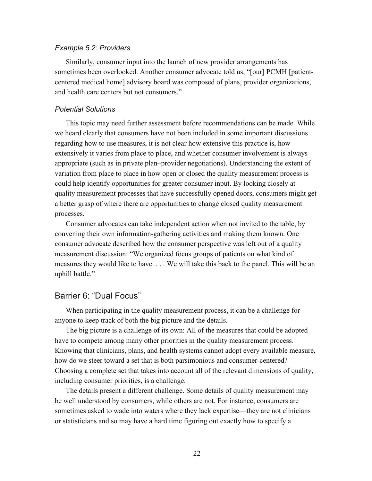#### *Example 5.2: Providers*

Similarly, consumer input into the launch of new provider arrangements has sometimes been overlooked. Another consumer advocate told us, "[our] PCMH [patientcentered medical home] advisory board was composed of plans, provider organizations, and health care centers but not consumers."

#### *Potential Solutions*

This topic may need further assessment before recommendations can be made. While we heard clearly that consumers have not been included in some important discussions regarding how to use measures, it is not clear how extensive this practice is, how extensively it varies from place to place, and whether consumer involvement is always appropriate (such as in private plan–provider negotiations). Understanding the extent of variation from place to place in how open or closed the quality measurement process is could help identify opportunities for greater consumer input. By looking closely at quality measurement processes that have successfully opened doors, consumers might get a better grasp of where there are opportunities to change closed quality measurement processes.

Consumer advocates can take independent action when not invited to the table, by convening their own information-gathering activities and making them known. One consumer advocate described how the consumer perspective was left out of a quality measurement discussion: "We organized focus groups of patients on what kind of measures they would like to have. . . . We will take this back to the panel. This will be an uphill battle."

#### Barrier 6: "Dual Focus"

When participating in the quality measurement process, it can be a challenge for anyone to keep track of both the big picture and the details.

The big picture is a challenge of its own: All of the measures that could be adopted have to compete among many other priorities in the quality measurement process. Knowing that clinicians, plans, and health systems cannot adopt every available measure, how do we steer toward a set that is both parsimonious and consumer-centered? Choosing a complete set that takes into account all of the relevant dimensions of quality, including consumer priorities, is a challenge.

The details present a different challenge. Some details of quality measurement may be well understood by consumers, while others are not. For instance, consumers are sometimes asked to wade into waters where they lack expertise—they are not clinicians or statisticians and so may have a hard time figuring out exactly how to specify a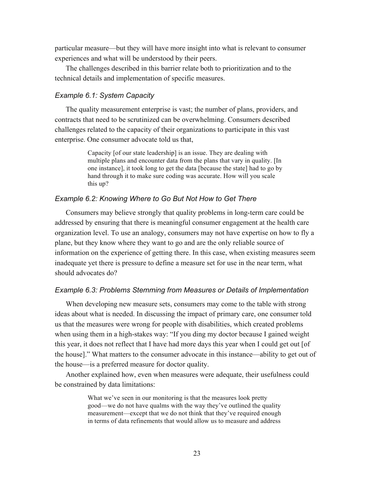particular measure—but they will have more insight into what is relevant to consumer experiences and what will be understood by their peers.

The challenges described in this barrier relate both to prioritization and to the technical details and implementation of specific measures.

#### *Example 6.1: System Capacity*

The quality measurement enterprise is vast; the number of plans, providers, and contracts that need to be scrutinized can be overwhelming. Consumers described challenges related to the capacity of their organizations to participate in this vast enterprise. One consumer advocate told us that,

> Capacity [of our state leadership] is an issue. They are dealing with multiple plans and encounter data from the plans that vary in quality. [In one instance], it took long to get the data [because the state] had to go by hand through it to make sure coding was accurate. How will you scale this up?

#### *Example 6.2: Knowing Where to Go But Not How to Get There*

Consumers may believe strongly that quality problems in long-term care could be addressed by ensuring that there is meaningful consumer engagement at the health care organization level. To use an analogy, consumers may not have expertise on how to fly a plane, but they know where they want to go and are the only reliable source of information on the experience of getting there. In this case, when existing measures seem inadequate yet there is pressure to define a measure set for use in the near term, what should advocates do?

#### *Example 6.3: Problems Stemming from Measures or Details of Implementation*

When developing new measure sets, consumers may come to the table with strong ideas about what is needed. In discussing the impact of primary care, one consumer told us that the measures were wrong for people with disabilities, which created problems when using them in a high-stakes way: "If you ding my doctor because I gained weight this year, it does not reflect that I have had more days this year when I could get out [of the house]." What matters to the consumer advocate in this instance—ability to get out of the house—is a preferred measure for doctor quality.

Another explained how, even when measures were adequate, their usefulness could be constrained by data limitations:

> What we've seen in our monitoring is that the measures look pretty good—we do not have qualms with the way they've outlined the quality measurement—except that we do not think that they've required enough in terms of data refinements that would allow us to measure and address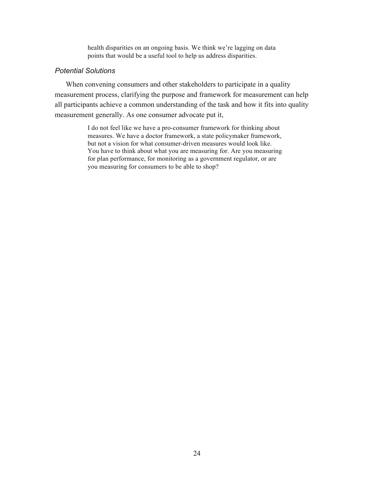health disparities on an ongoing basis. We think we're lagging on data points that would be a useful tool to help us address disparities.

#### *Potential Solutions*

When convening consumers and other stakeholders to participate in a quality measurement process, clarifying the purpose and framework for measurement can help all participants achieve a common understanding of the task and how it fits into quality measurement generally. As one consumer advocate put it,

> I do not feel like we have a pro-consumer framework for thinking about measures. We have a doctor framework, a state policymaker framework, but not a vision for what consumer-driven measures would look like. You have to think about what you are measuring for. Are you measuring for plan performance, for monitoring as a government regulator, or are you measuring for consumers to be able to shop?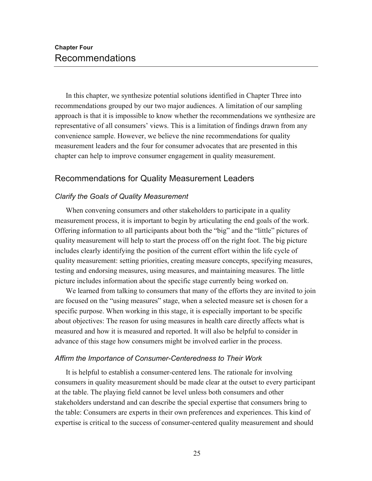In this chapter, we synthesize potential solutions identified in Chapter Three into recommendations grouped by our two major audiences. A limitation of our sampling approach is that it is impossible to know whether the recommendations we synthesize are representative of all consumers' views. This is a limitation of findings drawn from any convenience sample. However, we believe the nine recommendations for quality measurement leaders and the four for consumer advocates that are presented in this chapter can help to improve consumer engagement in quality measurement.

## Recommendations for Quality Measurement Leaders

#### *Clarify the Goals of Quality Measurement*

When convening consumers and other stakeholders to participate in a quality measurement process, it is important to begin by articulating the end goals of the work. Offering information to all participants about both the "big" and the "little" pictures of quality measurement will help to start the process off on the right foot. The big picture includes clearly identifying the position of the current effort within the life cycle of quality measurement: setting priorities, creating measure concepts, specifying measures, testing and endorsing measures, using measures, and maintaining measures. The little picture includes information about the specific stage currently being worked on.

We learned from talking to consumers that many of the efforts they are invited to join are focused on the "using measures" stage, when a selected measure set is chosen for a specific purpose. When working in this stage, it is especially important to be specific about objectives: The reason for using measures in health care directly affects what is measured and how it is measured and reported. It will also be helpful to consider in advance of this stage how consumers might be involved earlier in the process.

#### *Affirm the Importance of Consumer-Centeredness to Their Work*

It is helpful to establish a consumer-centered lens. The rationale for involving consumers in quality measurement should be made clear at the outset to every participant at the table. The playing field cannot be level unless both consumers and other stakeholders understand and can describe the special expertise that consumers bring to the table: Consumers are experts in their own preferences and experiences. This kind of expertise is critical to the success of consumer-centered quality measurement and should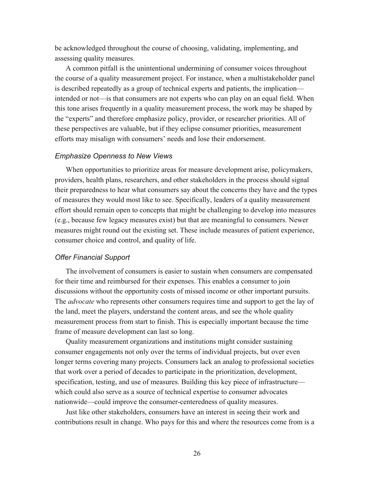be acknowledged throughout the course of choosing, validating, implementing, and assessing quality measures.

A common pitfall is the unintentional undermining of consumer voices throughout the course of a quality measurement project. For instance, when a multistakeholder panel is described repeatedly as a group of technical experts and patients, the implication intended or not—is that consumers are not experts who can play on an equal field. When this tone arises frequently in a quality measurement process, the work may be shaped by the "experts" and therefore emphasize policy, provider, or researcher priorities. All of these perspectives are valuable, but if they eclipse consumer priorities, measurement efforts may misalign with consumers' needs and lose their endorsement.

#### *Emphasize Openness to New Views*

When opportunities to prioritize areas for measure development arise, policymakers, providers, health plans, researchers, and other stakeholders in the process should signal their preparedness to hear what consumers say about the concerns they have and the types of measures they would most like to see. Specifically, leaders of a quality measurement effort should remain open to concepts that might be challenging to develop into measures (e.g., because few legacy measures exist) but that are meaningful to consumers. Newer measures might round out the existing set. These include measures of patient experience, consumer choice and control, and quality of life.

#### *Offer Financial Support*

The involvement of consumers is easier to sustain when consumers are compensated for their time and reimbursed for their expenses. This enables a consumer to join discussions without the opportunity costs of missed income or other important pursuits. The *advocate* who represents other consumers requires time and support to get the lay of the land, meet the players, understand the content areas, and see the whole quality measurement process from start to finish. This is especially important because the time frame of measure development can last so long.

Quality measurement organizations and institutions might consider sustaining consumer engagements not only over the terms of individual projects, but over even longer terms covering many projects. Consumers lack an analog to professional societies that work over a period of decades to participate in the prioritization, development, specification, testing, and use of measures. Building this key piece of infrastructure which could also serve as a source of technical expertise to consumer advocates nationwide—could improve the consumer-centeredness of quality measures.

Just like other stakeholders, consumers have an interest in seeing their work and contributions result in change. Who pays for this and where the resources come from is a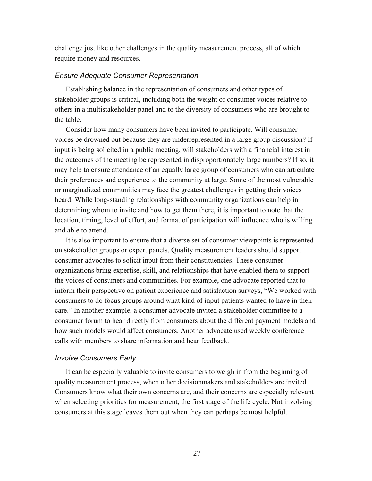challenge just like other challenges in the quality measurement process, all of which require money and resources.

#### *Ensure Adequate Consumer Representation*

Establishing balance in the representation of consumers and other types of stakeholder groups is critical, including both the weight of consumer voices relative to others in a multistakeholder panel and to the diversity of consumers who are brought to the table.

Consider how many consumers have been invited to participate. Will consumer voices be drowned out because they are underrepresented in a large group discussion? If input is being solicited in a public meeting, will stakeholders with a financial interest in the outcomes of the meeting be represented in disproportionately large numbers? If so, it may help to ensure attendance of an equally large group of consumers who can articulate their preferences and experience to the community at large. Some of the most vulnerable or marginalized communities may face the greatest challenges in getting their voices heard. While long-standing relationships with community organizations can help in determining whom to invite and how to get them there, it is important to note that the location, timing, level of effort, and format of participation will influence who is willing and able to attend.

It is also important to ensure that a diverse set of consumer viewpoints is represented on stakeholder groups or expert panels. Quality measurement leaders should support consumer advocates to solicit input from their constituencies. These consumer organizations bring expertise, skill, and relationships that have enabled them to support the voices of consumers and communities. For example, one advocate reported that to inform their perspective on patient experience and satisfaction surveys, "We worked with consumers to do focus groups around what kind of input patients wanted to have in their care." In another example, a consumer advocate invited a stakeholder committee to a consumer forum to hear directly from consumers about the different payment models and how such models would affect consumers. Another advocate used weekly conference calls with members to share information and hear feedback.

#### *Involve Consumers Early*

It can be especially valuable to invite consumers to weigh in from the beginning of quality measurement process, when other decisionmakers and stakeholders are invited. Consumers know what their own concerns are, and their concerns are especially relevant when selecting priorities for measurement, the first stage of the life cycle. Not involving consumers at this stage leaves them out when they can perhaps be most helpful.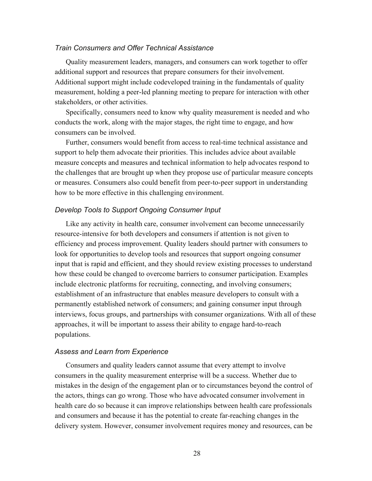#### *Train Consumers and Offer Technical Assistance*

Quality measurement leaders, managers, and consumers can work together to offer additional support and resources that prepare consumers for their involvement. Additional support might include codeveloped training in the fundamentals of quality measurement, holding a peer-led planning meeting to prepare for interaction with other stakeholders, or other activities.

Specifically, consumers need to know why quality measurement is needed and who conducts the work, along with the major stages, the right time to engage, and how consumers can be involved.

Further, consumers would benefit from access to real-time technical assistance and support to help them advocate their priorities. This includes advice about available measure concepts and measures and technical information to help advocates respond to the challenges that are brought up when they propose use of particular measure concepts or measures. Consumers also could benefit from peer-to-peer support in understanding how to be more effective in this challenging environment.

#### *Develop Tools to Support Ongoing Consumer Input*

Like any activity in health care, consumer involvement can become unnecessarily resource-intensive for both developers and consumers if attention is not given to efficiency and process improvement. Quality leaders should partner with consumers to look for opportunities to develop tools and resources that support ongoing consumer input that is rapid and efficient, and they should review existing processes to understand how these could be changed to overcome barriers to consumer participation. Examples include electronic platforms for recruiting, connecting, and involving consumers; establishment of an infrastructure that enables measure developers to consult with a permanently established network of consumers; and gaining consumer input through interviews, focus groups, and partnerships with consumer organizations. With all of these approaches, it will be important to assess their ability to engage hard-to-reach populations.

#### *Assess and Learn from Experience*

Consumers and quality leaders cannot assume that every attempt to involve consumers in the quality measurement enterprise will be a success. Whether due to mistakes in the design of the engagement plan or to circumstances beyond the control of the actors, things can go wrong. Those who have advocated consumer involvement in health care do so because it can improve relationships between health care professionals and consumers and because it has the potential to create far-reaching changes in the delivery system. However, consumer involvement requires money and resources, can be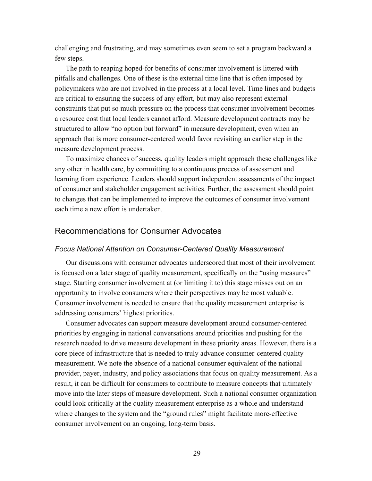challenging and frustrating, and may sometimes even seem to set a program backward a few steps.

The path to reaping hoped-for benefits of consumer involvement is littered with pitfalls and challenges. One of these is the external time line that is often imposed by policymakers who are not involved in the process at a local level. Time lines and budgets are critical to ensuring the success of any effort, but may also represent external constraints that put so much pressure on the process that consumer involvement becomes a resource cost that local leaders cannot afford. Measure development contracts may be structured to allow "no option but forward" in measure development, even when an approach that is more consumer-centered would favor revisiting an earlier step in the measure development process.

To maximize chances of success, quality leaders might approach these challenges like any other in health care, by committing to a continuous process of assessment and learning from experience. Leaders should support independent assessments of the impact of consumer and stakeholder engagement activities. Further, the assessment should point to changes that can be implemented to improve the outcomes of consumer involvement each time a new effort is undertaken.

## Recommendations for Consumer Advocates

#### *Focus National Attention on Consumer-Centered Quality Measurement*

Our discussions with consumer advocates underscored that most of their involvement is focused on a later stage of quality measurement, specifically on the "using measures" stage. Starting consumer involvement at (or limiting it to) this stage misses out on an opportunity to involve consumers where their perspectives may be most valuable. Consumer involvement is needed to ensure that the quality measurement enterprise is addressing consumers' highest priorities.

Consumer advocates can support measure development around consumer-centered priorities by engaging in national conversations around priorities and pushing for the research needed to drive measure development in these priority areas. However, there is a core piece of infrastructure that is needed to truly advance consumer-centered quality measurement. We note the absence of a national consumer equivalent of the national provider, payer, industry, and policy associations that focus on quality measurement. As a result, it can be difficult for consumers to contribute to measure concepts that ultimately move into the later steps of measure development. Such a national consumer organization could look critically at the quality measurement enterprise as a whole and understand where changes to the system and the "ground rules" might facilitate more-effective consumer involvement on an ongoing, long-term basis.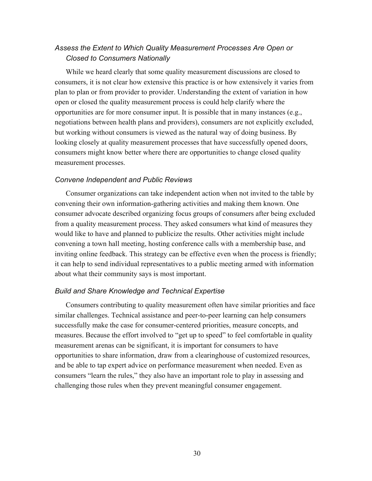## *Assess the Extent to Which Quality Measurement Processes Are Open or Closed to Consumers Nationally*

While we heard clearly that some quality measurement discussions are closed to consumers, it is not clear how extensive this practice is or how extensively it varies from plan to plan or from provider to provider. Understanding the extent of variation in how open or closed the quality measurement process is could help clarify where the opportunities are for more consumer input. It is possible that in many instances (e.g., negotiations between health plans and providers), consumers are not explicitly excluded, but working without consumers is viewed as the natural way of doing business. By looking closely at quality measurement processes that have successfully opened doors, consumers might know better where there are opportunities to change closed quality measurement processes.

#### *Convene Independent and Public Reviews*

Consumer organizations can take independent action when not invited to the table by convening their own information-gathering activities and making them known. One consumer advocate described organizing focus groups of consumers after being excluded from a quality measurement process. They asked consumers what kind of measures they would like to have and planned to publicize the results. Other activities might include convening a town hall meeting, hosting conference calls with a membership base, and inviting online feedback. This strategy can be effective even when the process is friendly; it can help to send individual representatives to a public meeting armed with information about what their community says is most important.

#### *Build and Share Knowledge and Technical Expertise*

Consumers contributing to quality measurement often have similar priorities and face similar challenges. Technical assistance and peer-to-peer learning can help consumers successfully make the case for consumer-centered priorities, measure concepts, and measures. Because the effort involved to "get up to speed" to feel comfortable in quality measurement arenas can be significant, it is important for consumers to have opportunities to share information, draw from a clearinghouse of customized resources, and be able to tap expert advice on performance measurement when needed. Even as consumers "learn the rules," they also have an important role to play in assessing and challenging those rules when they prevent meaningful consumer engagement.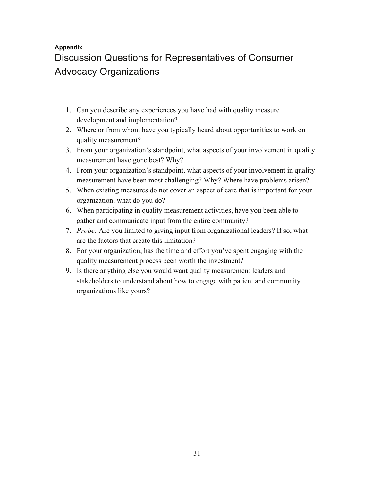## **Appendix** Discussion Questions for Representatives of Consumer Advocacy Organizations

- 1. Can you describe any experiences you have had with quality measure development and implementation?
- 2. Where or from whom have you typically heard about opportunities to work on quality measurement?
- 3. From your organization's standpoint, what aspects of your involvement in quality measurement have gone best? Why?
- 4. From your organization's standpoint, what aspects of your involvement in quality measurement have been most challenging? Why? Where have problems arisen?
- 5. When existing measures do not cover an aspect of care that is important for your organization, what do you do?
- 6. When participating in quality measurement activities, have you been able to gather and communicate input from the entire community?
- 7. *Probe:* Are you limited to giving input from organizational leaders? If so, what are the factors that create this limitation?
- 8. For your organization, has the time and effort you've spent engaging with the quality measurement process been worth the investment?
- 9. Is there anything else you would want quality measurement leaders and stakeholders to understand about how to engage with patient and community organizations like yours?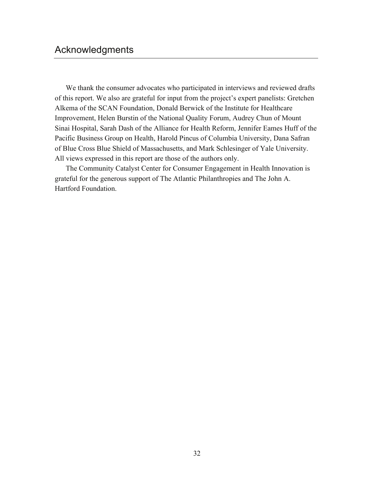We thank the consumer advocates who participated in interviews and reviewed drafts of this report. We also are grateful for input from the project's expert panelists: Gretchen Alkema of the SCAN Foundation, Donald Berwick of the Institute for Healthcare Improvement, Helen Burstin of the National Quality Forum, Audrey Chun of Mount Sinai Hospital, Sarah Dash of the Alliance for Health Reform, Jennifer Eames Huff of the Pacific Business Group on Health, Harold Pincus of Columbia University, Dana Safran of Blue Cross Blue Shield of Massachusetts, and Mark Schlesinger of Yale University. All views expressed in this report are those of the authors only.

The Community Catalyst Center for Consumer Engagement in Health Innovation is grateful for the generous support of The Atlantic Philanthropies and The John A. Hartford Foundation.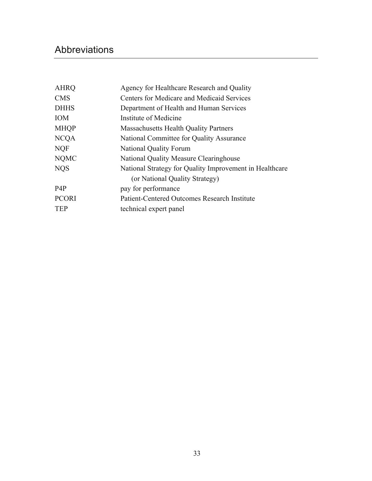# Abbreviations

| <b>AHRQ</b>      | Agency for Healthcare Research and Quality              |  |
|------------------|---------------------------------------------------------|--|
| <b>CMS</b>       | Centers for Medicare and Medicaid Services              |  |
| <b>DHHS</b>      | Department of Health and Human Services                 |  |
| <b>IOM</b>       | Institute of Medicine                                   |  |
| <b>MHQP</b>      | <b>Massachusetts Health Quality Partners</b>            |  |
| <b>NCQA</b>      | National Committee for Quality Assurance                |  |
| <b>NQF</b>       | <b>National Quality Forum</b>                           |  |
| <b>NQMC</b>      | National Quality Measure Clearinghouse                  |  |
| <b>NOS</b>       | National Strategy for Quality Improvement in Healthcare |  |
|                  | (or National Quality Strategy)                          |  |
| P <sub>4</sub> P | pay for performance                                     |  |
| <b>PCORI</b>     | <b>Patient-Centered Outcomes Research Institute</b>     |  |
| <b>TEP</b>       | technical expert panel                                  |  |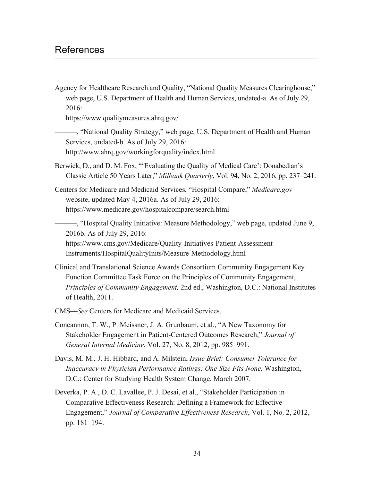Agency for Healthcare Research and Quality, "National Quality Measures Clearinghouse," web page, U.S. Department of Health and Human Services, undated-a. As of July 29, 2016:

<https://www.qualitymeasures.ahrq.gov/>

———, "National Quality Strategy," web page, U.S. Department of Health and Human Services, undated-b. As of July 29, 2016: <http://www.ahrq.gov/workingforquality/index.html>

Berwick, D., and D. M. Fox, "'Evaluating the Quality of Medical Care': Donabedian's Classic Article 50 Years Later," *Milbank Quarterly*, Vol. 94, No. 2, 2016, pp. 237–241.

Centers for Medicare and Medicaid Services, "Hospital Compare," *Medicare.gov* website, updated May 4, 2016a. As of July 29, 2016: <https://www.medicare.gov/hospitalcompare/search.html>

———, "Hospital Quality Initiative: Measure Methodology," web page, updated June 9, 2016b. As of July 29, 2016:

[https://www.cms.gov/Medicare/Quality-Initiatives-Patient-Assessment-](https://www.cms.gov/Medicare/Quality-Initiatives-Patient-Assessment-Instruments/HospitalQualityInits/Measure-Methodology.html)Instruments/HospitalQualityInits/Measure-Methodology.html

- Clinical and Translational Science Awards Consortium Community Engagement Key Function Committee Task Force on the Principles of Community Engagement, *Principles of Community Engagement,* 2nd ed., Washington, D.C.: National Institutes of Health, 2011.
- CMS—*See* Centers for Medicare and Medicaid Services.
- Concannon, T. W., P. Meissner, J. A. Grunbaum, et al., "A New Taxonomy for Stakeholder Engagement in Patient-Centered Outcomes Research," *Journal of General Internal Medicine*, Vol. 27, No. 8, 2012, pp. 985–991.
- Davis, M. M., J. H. Hibbard, and A. Milstein, *Issue Brief: Consumer Tolerance for Inaccuracy in Physician Performance Ratings: One Size Fits None,* Washington, D.C.: Center for Studying Health System Change, March 2007.
- Deverka, P. A., D. C. Lavallee, P. J. Desai, et al., "Stakeholder Participation in Comparative Effectiveness Research: Defining a Framework for Effective Engagement," *Journal of Comparative Effectiveness Research*, Vol. 1, No. 2, 2012, pp. 181–194.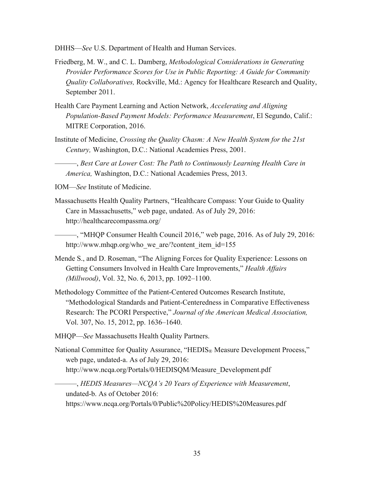DHHS—*See* U.S. Department of Health and Human Services.

- Friedberg, M. W., and C. L. Damberg, *Methodological Considerations in Generating Provider Performance Scores for Use in Public Reporting: A Guide for Community Quality Collaboratives,* Rockville, Md.: Agency for Healthcare Research and Quality, September 2011.
- Health Care Payment Learning and Action Network, *Accelerating and Aligning Population-Based Payment Models: Performance Measurement*, El Segundo, Calif.: MITRE Corporation, 2016.
- Institute of Medicine, *Crossing the Quality Chasm: A New Health System for the 21st Century,* Washington, D.C.: National Academies Press, 2001.

———, *Best Care at Lower Cost: The Path to Continuously Learning Health Care in America,* Washington, D.C.: National Academies Press, 2013.

IOM—*See* Institute of Medicine.

Massachusetts Health Quality Partners, "Healthcare Compass: Your Guide to Quality Care in Massachusetts," web page, undated. As of July 29, 2016: <http://healthcarecompassma.org/>

———, "MHQP Consumer Health Council 2016," web page, 2016. As of July 29, 2016: http://www.mhqp.org/who\_we\_are/?content\_item\_id=155

- Mende S., and D. Roseman, "The Aligning Forces for Quality Experience: Lessons on Getting Consumers Involved in Health Care Improvements," *Health Affairs (Millwood)*, Vol. 32, No. 6, 2013, pp. 1092–1100.
- Methodology Committee of the Patient-Centered Outcomes Research Institute, "Methodological Standards and Patient-Centeredness in Comparative Effectiveness Research: The PCORI Perspective," *Journal of the American Medical Association,*  Vol. 307, No. 15, 2012, pp. 1636–1640.
- MHQP—*See* Massachusetts Health Quality Partners.
- National Committee for Quality Assurance, "HEDIS<sub>®</sub> Measure Development Process," web page, undated-a. As of July 29, 2016: [http://www.ncqa.org/Portals/0/HEDISQM/Measure\\_Development.pdf](http://www.ncqa.org/Portals/0/HEDISQM/Measure_Development.pdf)

———, *HEDIS Measures—NCQA's 20 Years of Experience with Measurement*, undated-b. As of October 2016: <https://www.ncqa.org/Portals/0/Public%20Policy/HEDIS%20Measures.pdf>